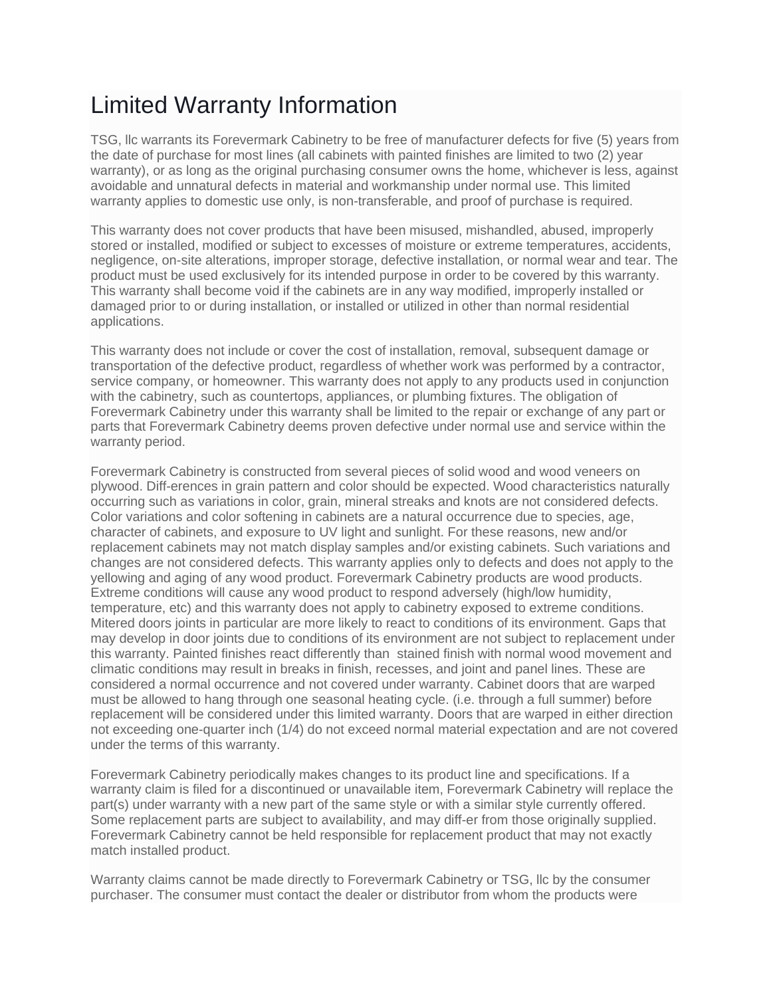## Limited Warranty Information

TSG, llc warrants its Forevermark Cabinetry to be free of manufacturer defects for five (5) years from the date of purchase for most lines (all cabinets with painted finishes are limited to two (2) year warranty), or as long as the original purchasing consumer owns the home, whichever is less, against avoidable and unnatural defects in material and workmanship under normal use. This limited warranty applies to domestic use only, is non-transferable, and proof of purchase is required.

This warranty does not cover products that have been misused, mishandled, abused, improperly stored or installed, modified or subject to excesses of moisture or extreme temperatures, accidents, negligence, on-site alterations, improper storage, defective installation, or normal wear and tear. The product must be used exclusively for its intended purpose in order to be covered by this warranty. This warranty shall become void if the cabinets are in any way modified, improperly installed or damaged prior to or during installation, or installed or utilized in other than normal residential applications.

This warranty does not include or cover the cost of installation, removal, subsequent damage or transportation of the defective product, regardless of whether work was performed by a contractor, service company, or homeowner. This warranty does not apply to any products used in conjunction with the cabinetry, such as countertops, appliances, or plumbing fixtures. The obligation of Forevermark Cabinetry under this warranty shall be limited to the repair or exchange of any part or parts that Forevermark Cabinetry deems proven defective under normal use and service within the warranty period.

Forevermark Cabinetry is constructed from several pieces of solid wood and wood veneers on plywood. Diff-erences in grain pattern and color should be expected. Wood characteristics naturally occurring such as variations in color, grain, mineral streaks and knots are not considered defects. Color variations and color softening in cabinets are a natural occurrence due to species, age, character of cabinets, and exposure to UV light and sunlight. For these reasons, new and/or replacement cabinets may not match display samples and/or existing cabinets. Such variations and changes are not considered defects. This warranty applies only to defects and does not apply to the yellowing and aging of any wood product. Forevermark Cabinetry products are wood products. Extreme conditions will cause any wood product to respond adversely (high/low humidity, temperature, etc) and this warranty does not apply to cabinetry exposed to extreme conditions. Mitered doors joints in particular are more likely to react to conditions of its environment. Gaps that may develop in door joints due to conditions of its environment are not subject to replacement under this warranty. Painted finishes react differently than stained finish with normal wood movement and climatic conditions may result in breaks in finish, recesses, and joint and panel lines. These are considered a normal occurrence and not covered under warranty. Cabinet doors that are warped must be allowed to hang through one seasonal heating cycle. (i.e. through a full summer) before replacement will be considered under this limited warranty. Doors that are warped in either direction not exceeding one-quarter inch (1/4) do not exceed normal material expectation and are not covered under the terms of this warranty.

Forevermark Cabinetry periodically makes changes to its product line and specifications. If a warranty claim is filed for a discontinued or unavailable item, Forevermark Cabinetry will replace the part(s) under warranty with a new part of the same style or with a similar style currently offered. Some replacement parts are subject to availability, and may diff-er from those originally supplied. Forevermark Cabinetry cannot be held responsible for replacement product that may not exactly match installed product.

Warranty claims cannot be made directly to Forevermark Cabinetry or TSG, llc by the consumer purchaser. The consumer must contact the dealer or distributor from whom the products were